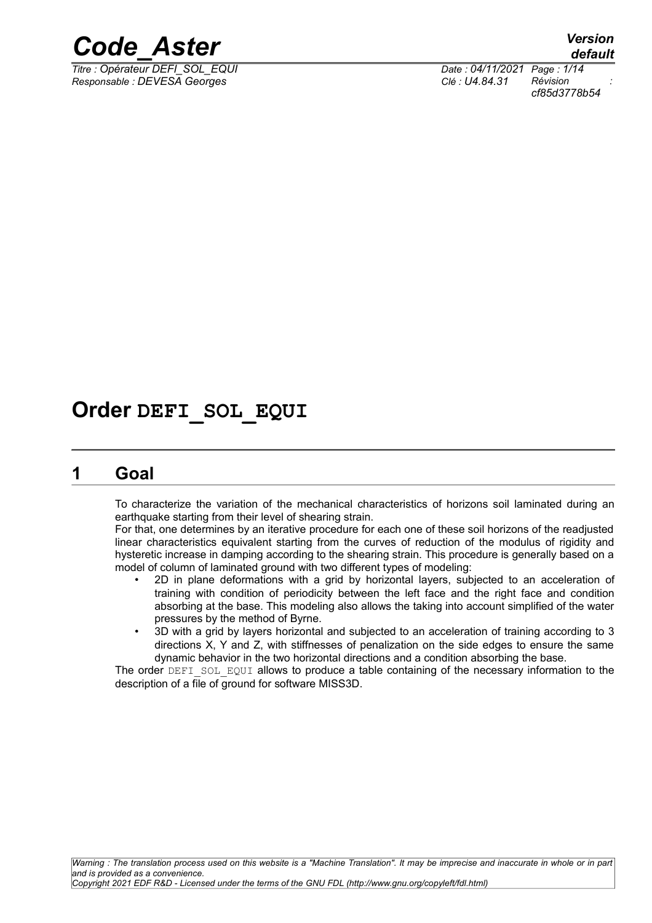

*Titre : Opérateur DEFI\_SOL\_EQUI Date : 04/11/2021 Page : 1/14 Responsable : DEVESA Georges Clé : U4.84.31 Révision :*

*cf85d3778b54*

# **Order DEFI\_SOL\_EQUI**

## **1 Goal**

To characterize the variation of the mechanical characteristics of horizons soil laminated during an earthquake starting from their level of shearing strain.

For that, one determines by an iterative procedure for each one of these soil horizons of the readjusted linear characteristics equivalent starting from the curves of reduction of the modulus of rigidity and hysteretic increase in damping according to the shearing strain. This procedure is generally based on a model of column of laminated ground with two different types of modeling:

- 2D in plane deformations with a grid by horizontal layers, subjected to an acceleration of training with condition of periodicity between the left face and the right face and condition absorbing at the base. This modeling also allows the taking into account simplified of the water pressures by the method of Byrne.
- 3D with a grid by layers horizontal and subjected to an acceleration of training according to 3 directions X, Y and Z, with stiffnesses of penalization on the side edges to ensure the same dynamic behavior in the two horizontal directions and a condition absorbing the base.

The order DEFI\_SOL\_EQUI allows to produce a table containing of the necessary information to the description of a file of ground for software MISS3D.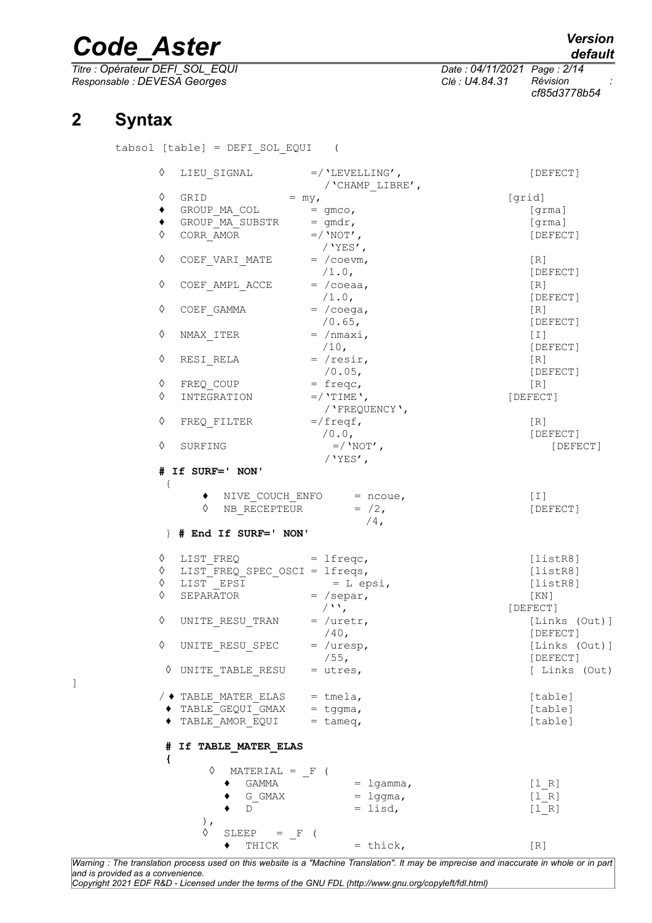*Titre : Opérateur DEFI\_SOL\_EQUI Date : 04/11/2021 Page : 2/14 Responsable : DEVESA Georges Clé : U4.84.31 Révision :*

*cf85d3778b54*

*default*

# **2 Syntax**

tabsol [table] = DEFI\_SOL\_EQUI (

| ♦<br>LIEU SIGNAL                           | $=$ /'LEVELLING',<br>/ 'CHAMP LIBRE',          | [DEFECT]      |
|--------------------------------------------|------------------------------------------------|---------------|
| ♦                                          |                                                | [grid]        |
| GRID = $my$ ,<br>GROUP_MA_COL = gmco,<br>٠ |                                                | [grma]        |
| GROUP MA SUBSTR = $gmdr$ ,<br>٠            |                                                | [grma]        |
| CORR_AMOR $=$ / 'NOT',<br>♦                |                                                | [DEFECT]      |
|                                            | / $YES'$ ,                                     |               |
| ♦<br>COEF VARI MATE                        | $= /$ coevm,                                   | [R]           |
|                                            | $/1.0$ ,                                       | [DEFECT]      |
| ♦<br>COEF AMPL ACCE                        | $= / \cosea$ ,                                 | [R]           |
|                                            | $/1.0$ ,                                       | [DEFECT]      |
| ♦<br>COEF GAMMA                            | $= / \csc a$ ,                                 | [R]           |
|                                            | $/0.65$ ,                                      | [DEFECT]      |
| NMAX_ITER<br>♦                             | $= /nmaxi,$                                    | $[1]$         |
|                                            | $/10$ ,                                        | [DEFECT]      |
| RESI RELA<br>♦                             | $=$ /resir,                                    | [R]           |
|                                            | $/0.05$ ,                                      | [DEFECT]      |
| ♦<br>FREQ COUP                             | $= \text{freqc}$ ,                             | [R]           |
| ♦<br>INTEGRATION                           | $=$ /'TIME',                                   | [DEFECT]      |
|                                            | / 'FREQUENCY',                                 |               |
| ♦<br>FREQ FILTER                           | $=$ /freqf,                                    | [R]           |
|                                            | /0.0,                                          | [DEFECT]      |
| ♦<br>SURFING                               | $=$ /'NOT',                                    | [DEFECT]      |
|                                            | / $YES'$ ,                                     |               |
| ♦<br>  # End If SURF=' NON'                | $NB$ <sub>_</sub> RECEPTEUR = $/2$ ,<br>$/4$ , | [DEFECT]      |
| LIST FREQ<br>♦                             | $=$ lfreqc,                                    | [listsER8]    |
| $LIST_FREQ_SPEC_OSCI = Ifreqs,$<br>♦       |                                                | [listR8]      |
| LIST EPSI $= L \text{ epsi},$<br>♦         |                                                | [listsER8]    |
| ♦<br>SEPARATOR $=$ /separ,                 |                                                | [ KN ]        |
|                                            | $\left( \Delta \Delta \right)$                 | [DEFECT]      |
| ♦<br>UNITE_RESU_TRAN = $/$ uretr,          |                                                | [Links (Out)] |
|                                            | $/40$ ,                                        | [DEFECT]      |
| ♦<br>UNITE RESU SPEC                       | $=$ /uresp,                                    | [Links (Out)] |
|                                            | /55,                                           | [DEFECT]      |
| UNITE TABLE RESU<br>♦                      | $=$ utres,                                     | [ Links (Out) |
|                                            |                                                |               |
| $/$ $\blacklozenge$ TABLE MATER ELAS       | $=$ tmela,                                     | [table]       |
| TABLE GEQUI GMAX<br>◆                      | $=$ tggma,                                     | [table]       |
| TABLE AMOR EQUI                            | $=$ tameq,                                     | [table]       |
| If TABLE MATER ELAS<br>#<br>€              |                                                |               |
| ♦<br>$MATERIAL = F$ (                      |                                                |               |
| <b>GAMMA</b>                               | $=$ lgamma,                                    | [1 R]         |
| G GMAX                                     | $=$ lggma,                                     | [1 R]         |
| D                                          | $=$ lisd,                                      | [1 R]         |
| $)$ ,                                      |                                                |               |
| ♦<br>$SLEEP = F$                           |                                                |               |
| THICK                                      | $=$ thick,                                     | [R]           |
|                                            |                                                |               |

]

*Warning : The translation process used on this website is a "Machine Translation". It may be imprecise and inaccurate in whole or in part and is provided as a convenience. Copyright 2021 EDF R&D - Licensed under the terms of the GNU FDL (http://www.gnu.org/copyleft/fdl.html)*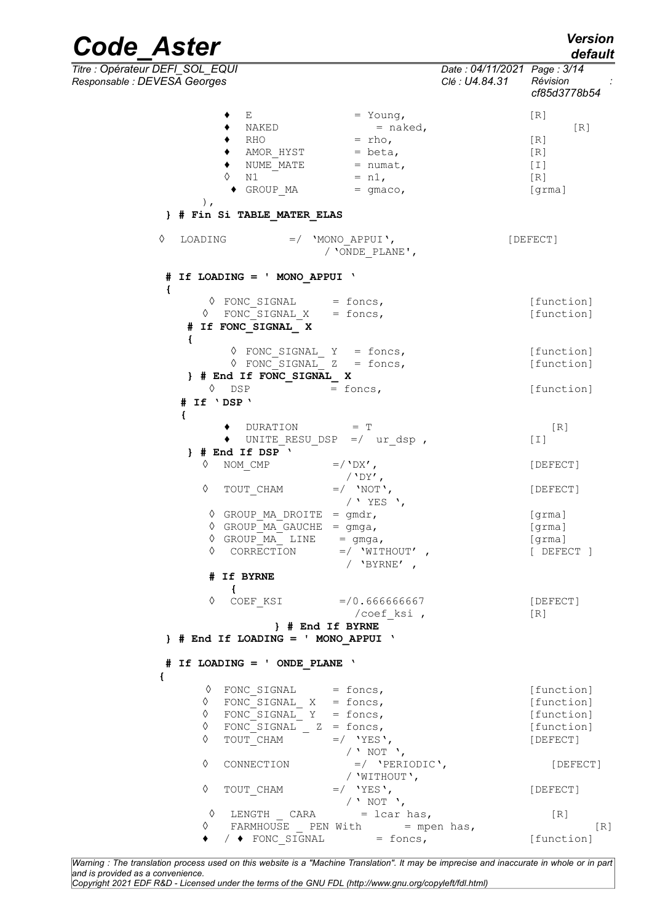*default*

*Code\_Aster Version*

| Titre : Opérateur DEFI_SOL_EQUI<br>Responsable : DEVESA Georges                                                                                                                     | Date: 04/11/2021 Page: 3/14<br>Clé : U4.84.31 | Révision<br>cf85d3778b54                                         |
|-------------------------------------------------------------------------------------------------------------------------------------------------------------------------------------|-----------------------------------------------|------------------------------------------------------------------|
| Ε<br>$=$ Young,<br>$=$ naked,<br>NAKED<br>RHO<br>$=$ rho,<br>AMOR HYST<br>$=$ beta,<br>NUME MATE<br>$=$ numat,<br>$= n1,$<br>♦<br>N1<br>GROUP MA<br>$=$ qmaco,<br>$\,$ ,            |                                               | [R]<br>[R]<br>[R]<br>[R]<br>$[1]$<br>[R]<br>[grma]               |
| } # Fin Si TABLE MATER ELAS                                                                                                                                                         |                                               |                                                                  |
| ♦<br>LOADING<br>$=$ / 'MONO APPUI',<br>/ 'ONDE PLANE',                                                                                                                              |                                               | [DEFECT]                                                         |
| # If LOADING = ' MONO APPUI '<br>€                                                                                                                                                  |                                               |                                                                  |
| $\Diamond$ FONC SIGNAL = foncs,<br>FONC SIGNAL $X = fones,$<br>♦<br># If FONC SIGNAL X<br>$\mathcal{L}$                                                                             |                                               | [function]<br>[function]                                         |
| $\Diamond$ FONC SIGNAL Y = foncs,<br>$\Diamond$ FONC_SIGNAL_ Z = foncs,<br>} # End If FONC_SIGNAL_ X                                                                                |                                               | [function]<br>[function]                                         |
| $\lozenge$ DSP<br>$=$ foncs,<br># If 'DSP'<br>€                                                                                                                                     |                                               | [function]                                                       |
| DURATION = T<br>UNITE RESU DSP $=$ / ur dsp,<br>$\}$ # End If DSP $\prime$                                                                                                          |                                               | [R]<br>[T]                                                       |
| ♦<br>NOM CMP<br>$=$ / $'DR'$ ,<br>$/$ 'DY',                                                                                                                                         |                                               | [DEFECT]                                                         |
| ♦<br>$=$ / 'NOT',<br>TOUT CHAM<br>/ ' YES ',                                                                                                                                        |                                               | [DEFECT]                                                         |
| $\Diamond$ GROUP MA DROITE = gmdr,<br>$\Diamond$ GROUP MA GAUCHE = gmga,<br>$\Diamond$ GROUP MA LINE<br>$=$ gmga,<br>$\Diamond$ CORRECTION =/ 'WITHOUT'<br>/ $'$ BYRNE',            |                                               | [grama]<br>[grma]<br>[grama]<br>[ DEFECT ]                       |
| # If BYRNE<br>$\left\{ \right.$<br>♦                                                                                                                                                |                                               |                                                                  |
| COEF KSI =/0.666666667<br>/coef ksi,<br>H End If BYRNE                                                                                                                              |                                               | [DEFECT]<br>[R]                                                  |
| $}$ # End If LOADING = ' MONO_APPUI '                                                                                                                                               |                                               |                                                                  |
| # If LOADING = ' ONDE PLANE '<br>€                                                                                                                                                  |                                               |                                                                  |
| $\Diamond$ FONC SIGNAL = foncs,<br>$\Diamond$ FONC_SIGNAL X = foncs,<br>$\Diamond$ FONC_SIGNAL_ Y = foncs,<br>$\Diamond$ FONC_SIGNAL _ Z = foncs,<br>♦<br>TOUT CHAM<br>$=$ / 'YES', |                                               | [function]<br>[function]<br>[function]<br>[function]<br>[DEFECT] |
| / $'$ NOT $'$ ,<br>♦<br>$=$ / 'PERIODIC',<br>CONNECTION<br>/ 'WITHOUT',                                                                                                             |                                               | [DEFECT]                                                         |
| ♦<br>$=$ / 'YES',<br>TOUT CHAM<br>/ $'$ NOT $'$ ,                                                                                                                                   |                                               | [DEFECT]                                                         |
| LENGTH $CARA$ = lcar has,<br>♦<br>FARMHOUSE PEN With $=$ mpen has,<br>♦                                                                                                             |                                               | [R]<br>[R]                                                       |

*Warning : The translation process used on this website is a "Machine Translation". It may be imprecise and inaccurate in whole or in part and is provided as a convenience. Copyright 2021 EDF R&D - Licensed under the terms of the GNU FDL (http://www.gnu.org/copyleft/fdl.html)*

 $\blacklozenge$  /  $\blacklozenge$  FONC SIGNAL = foncs, [function]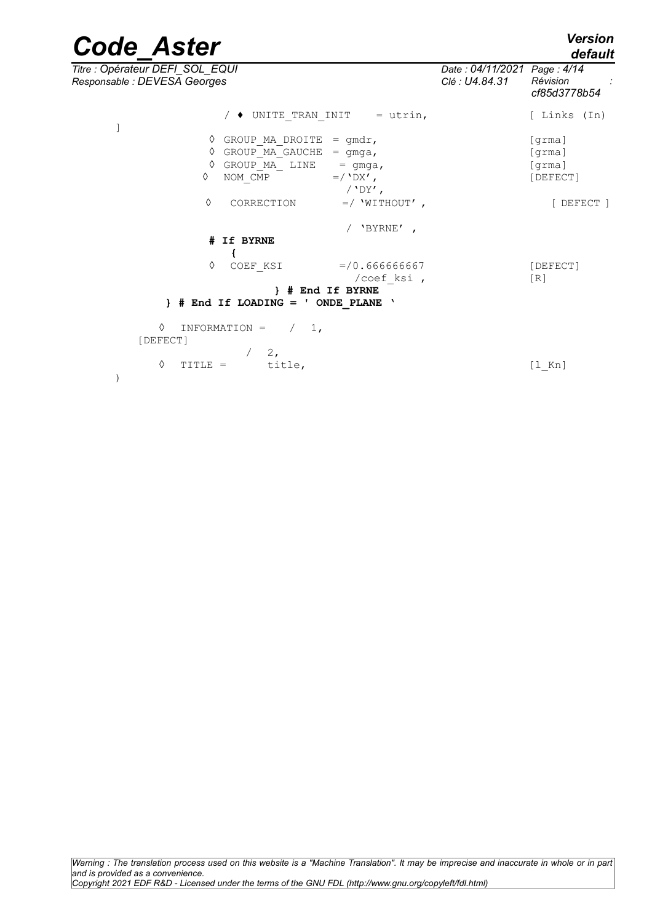| <b>Code Aster</b>                                               |                                                                                                                                                                             |                          | <b>Version</b><br>default                         |
|-----------------------------------------------------------------|-----------------------------------------------------------------------------------------------------------------------------------------------------------------------------|--------------------------|---------------------------------------------------|
| Titre : Opérateur DEFI SOL EQUI<br>Responsable : DEVESA Georges | Date: 04/11/2021 Page: 4/14<br>Clé : U4.84.31                                                                                                                               | Révision<br>cf85d3778b54 |                                                   |
|                                                                 | $/$ $\bullet$ UNITE TRAN INIT<br>$=$ utrin,                                                                                                                                 |                          | [ Links (In)                                      |
| ♦<br>♦<br>♦<br>♦<br>♦                                           | GROUP MA DROITE<br>$=$ qmdr,<br>GROUP MA GAUCHE<br>$=$ gmga,<br>GROUP MA LINE<br>$=$ qmqa,<br>NOM CMP<br>$=$ / $\Delta$ X',<br>/ $'$ DY',<br>$=$ / 'WITHOUT',<br>CORRECTION |                          | [qrm]<br>[qrm]<br>[qrm]<br>[DEFECT]<br>[ DEFECT ] |
|                                                                 | 'BYRNE',                                                                                                                                                                    |                          |                                                   |
|                                                                 | # If BYRNE                                                                                                                                                                  |                          |                                                   |
| ♦                                                               | $= 70.66666667$<br>COEF KSI<br>/coef ksi,<br>H End If BYRNE<br>$\}$ # End If LOADING = '<br>ONDE PLANE<br>$\mathbf{A}$                                                      |                          | [DEFECT]<br>[R]                                   |
| ♦<br>INFORMATION =<br>[DEFECT]                                  | 1,<br>2,                                                                                                                                                                    |                          |                                                   |

 $\Diamond$  TITLE = title,  $[1 \text{ Kn}]$ 

)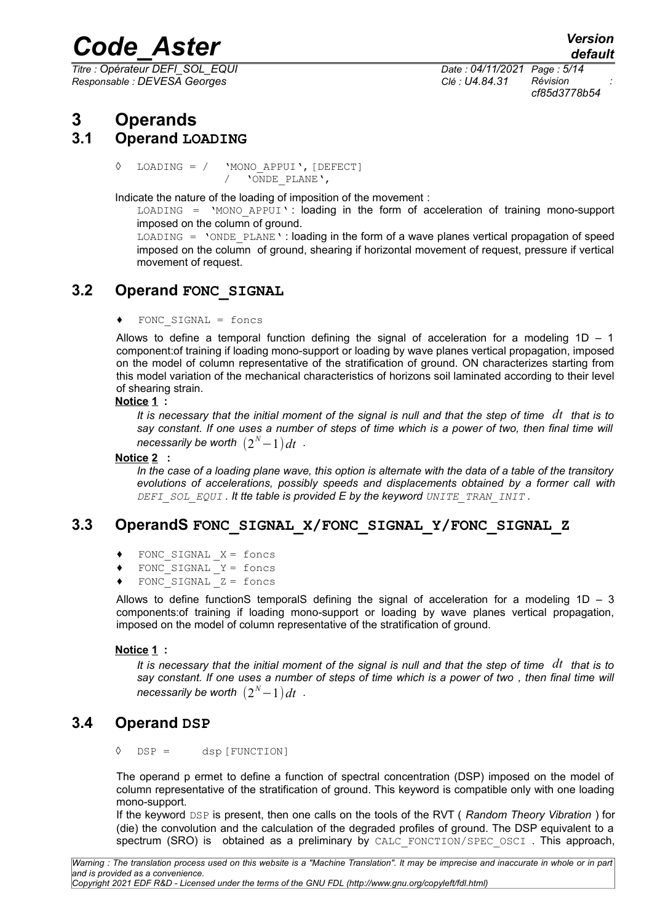*Titre : Opérateur DEFI\_SOL\_EQUI Date : 04/11/2021 Page : 5/14 Responsable : DEVESA Georges Clé : U4.84.31 Révision :*

*cf85d3778b54*

## **3 Operands**

### **3.1 Operand LOADING**

◊ LOADING = / 'MONO\_APPUI',[DEFECT] / 'ONDE\_PLANE',

Indicate the nature of the loading of imposition of the movement :

LOADING = 'MONO APPUI': loading in the form of acceleration of training mono-support imposed on the column of ground.

 $LOADING = 'ONDE PLANE':$  loading in the form of a wave planes vertical propagation of speed imposed on the column of ground, shearing if horizontal movement of request, pressure if vertical movement of request.

### **3.2 Operand FONC\_SIGNAL**

♦ FONC\_SIGNAL = foncs

Allows to define a temporal function defining the signal of acceleration for a modeling  $1D - 1$ component:of training if loading mono-support or loading by wave planes vertical propagation, imposed on the model of column representative of the stratification of ground. ON characterizes starting from this model variation of the mechanical characteristics of horizons soil laminated according to their level of shearing strain.

#### **Notice 1 :**

*It is necessary that the initial moment of the signal is null and that the step of time dt that is to* say constant. If one uses a number of steps of time which is a power of two, then final time will  $n$ ecessarily be worth  $\left(2^N\!-\!1\right)$   $dt$   $\,$   $\cdot$ 

#### **Notice 2 :**

*In the case of a loading plane wave, this option is alternate with the data of a table of the transitory evolutions of accelerations, possibly speeds and displacements obtained by a former call with DEFI\_SOL\_EQUI . It tte table is provided E by the keyword UNITE\_TRAN\_INIT .*

### **3.3 OperandS FONC\_SIGNAL\_X/FONC\_SIGNAL\_Y/FONC\_SIGNAL\_Z**

- FONC SIGNAL  $X = f$ oncs
- FONC SIGNAL  $Y =$  foncs
- FONC SIGNAL  $Z =$  foncs

Allows to define functionS temporalS defining the signal of acceleration for a modeling  $1D - 3$ components:of training if loading mono-support or loading by wave planes vertical propagation, imposed on the model of column representative of the stratification of ground.

#### **Notice 1 :**

*It is necessary that the initial moment of the signal is null and that the step of time dt that is to say constant. If one uses a number of steps of time which is a power of two , then final time will*  $n$ ecessarily be worth  $\left(2^N\!-\!1\right)$   $dt$   $\,$   $\cdot$ 

### **3.4 Operand DSP**

◊ DSP = dsp [FUNCTION]

The operand p ermet to define a function of spectral concentration (DSP) imposed on the model of column representative of the stratification of ground. This keyword is compatible only with one loading mono-support.

If the keyword DSP is present, then one calls on the tools of the RVT ( *Random Theory Vibration* ) for (die) the convolution and the calculation of the degraded profiles of ground. The DSP equivalent to a spectrum (SRO) is obtained as a preliminary by CALC FONCTION/SPEC OSCI. This approach,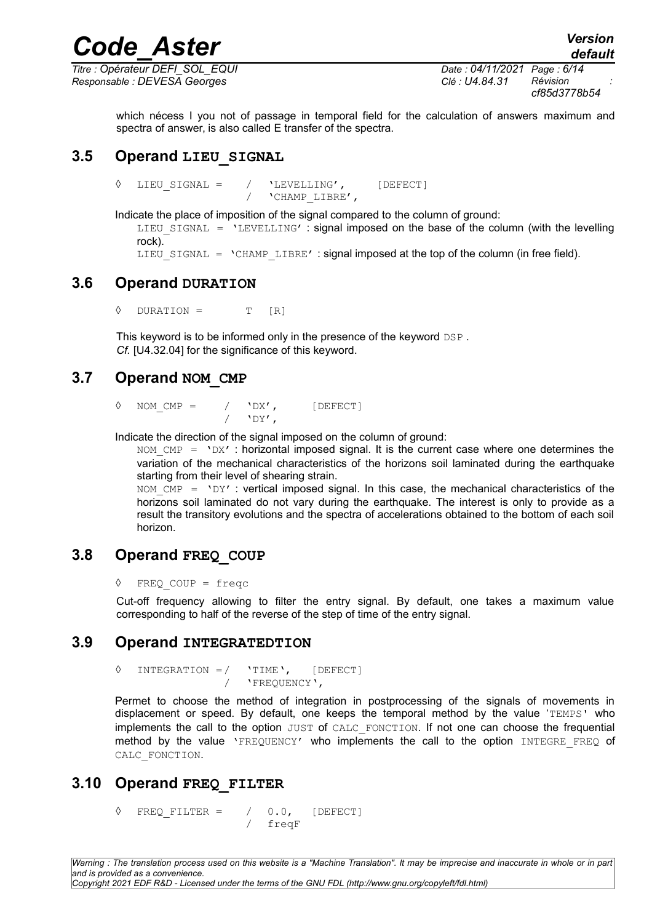*Titre : Opérateur DEFI\_SOL\_EQUI Date : 04/11/2021 Page : 6/14 Responsable : DEVESA Georges Clé : U4.84.31 Révision :*

*cf85d3778b54*

which nécess I you not of passage in temporal field for the calculation of answers maximum and spectra of answer, is also called E transfer of the spectra.

### **3.5 Operand LIEU\_SIGNAL**

◊ LIEU\_SIGNAL = / 'LEVELLING', [DEFECT] / 'CHAMP\_LIBRE',

Indicate the place of imposition of the signal compared to the column of ground:

LIEU\_SIGNAL = 'LEVELLING' : signal imposed on the base of the column (with the levelling rock).

LIEU SIGNAL = 'CHAMP LIBRE' : signal imposed at the top of the column (in free field).

### **3.6 Operand DURATION**

 $\Diamond$  DURATION = T [R]

This keyword is to be informed only in the presence of the keyword DSP. *Cf.* [U4.32.04] for the significance of this keyword.

### **3.7 Operand NOM\_CMP**

NOM  $CMP =$  / 'DX', [DEFECT]  $'$ DY',

Indicate the direction of the signal imposed on the column of ground:

NOM  $CMP = 'DX'$ : horizontal imposed signal. It is the current case where one determines the variation of the mechanical characteristics of the horizons soil laminated during the earthquake starting from their level of shearing strain.

NOM  $CMP = 'DY'$  : vertical imposed signal. In this case, the mechanical characteristics of the horizons soil laminated do not vary during the earthquake. The interest is only to provide as a result the transitory evolutions and the spectra of accelerations obtained to the bottom of each soil horizon.

### **3.8 Operand FREQ\_COUP**

```
◊ FREQ_COUP = freqc
```
Cut-off frequency allowing to filter the entry signal. By default, one takes a maximum value corresponding to half of the reverse of the step of time of the entry signal.

### **3.9 Operand INTEGRATEDTION**

◊ INTEGRATION =/ 'TIME', [DEFECT] / 'FREQUENCY',

Permet to choose the method of integration in postprocessing of the signals of movements in displacement or speed. By default, one keeps the temporal method by the value 'TEMPS' who implements the call to the option JUST of CALC\_FONCTION. If not one can choose the frequential method by the value 'FREQUENCY' who implements the call to the option INTEGRE FREQ of CALC\_FONCTION.

### **3.10 Operand FREQ\_FILTER**

 $\Diamond$  FREO FILTER = / 0.0, [DEFECT] / freqF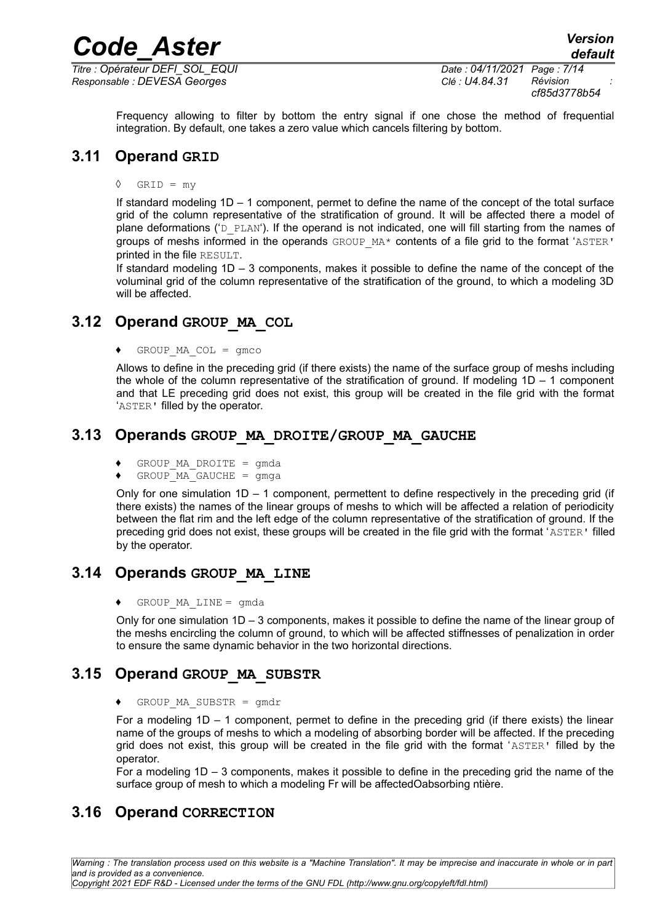*Responsable : DEVESA Georges Clé : U4.84.31 Révision :*

Frequency allowing to filter by bottom the entry signal if one chose the method of frequential integration. By default, one takes a zero value which cancels filtering by bottom.

### **3.11 Operand GRID**

 $\Diamond$  GRID = my

If standard modeling 1D – 1 component, permet to define the name of the concept of the total surface grid of the column representative of the stratification of ground. It will be affected there a model of plane deformations ('D\_PLAN'). If the operand is not indicated, one will fill starting from the names of groups of meshs informed in the operands  $GROUPMA*$  contents of a file grid to the format 'ASTER' printed in the file RESULT.

If standard modeling 1D – 3 components, makes it possible to define the name of the concept of the voluminal grid of the column representative of the stratification of the ground, to which a modeling 3D will be affected.

### **3.12 Operand GROUP\_MA\_COL**

 $\triangleleft$  GROUP MA COL = gmco

Allows to define in the preceding grid (if there exists) the name of the surface group of meshs including the whole of the column representative of the stratification of ground. If modeling  $1D - 1$  component and that LE preceding grid does not exist, this group will be created in the file grid with the format 'ASTER' filled by the operator.

### **3.13 Operands GROUP\_MA\_DROITE/GROUP\_MA\_GAUCHE**

- $GROUP$  MA DROITE = qmda
- $\bullet$  GROUP  $MA$  GAUCHE = gmga

Only for one simulation  $1D - 1$  component, permettent to define respectively in the preceding grid (if there exists) the names of the linear groups of meshs to which will be affected a relation of periodicity between the flat rim and the left edge of the column representative of the stratification of ground. If the preceding grid does not exist, these groups will be created in the file grid with the format 'ASTER' filled by the operator.

### **3.14 Operands GROUP\_MA\_LINE**

 $GROUP$  MA  $LINE =$  qmda

Only for one simulation 1D – 3 components, makes it possible to define the name of the linear group of the meshs encircling the column of ground, to which will be affected stiffnesses of penalization in order to ensure the same dynamic behavior in the two horizontal directions.

### **3.15 Operand GROUP\_MA\_SUBSTR**

♦ GROUP\_MA\_SUBSTR = gmdr

For a modeling  $1D - 1$  component, permet to define in the preceding grid (if there exists) the linear name of the groups of meshs to which a modeling of absorbing border will be affected. If the preceding grid does not exist, this group will be created in the file grid with the format 'ASTER' filled by the operator.

For a modeling 1D – 3 components, makes it possible to define in the preceding grid the name of the surface group of mesh to which a modeling Fr will be affectedOabsorbing ntière.

### **3.16 Operand CORRECTION**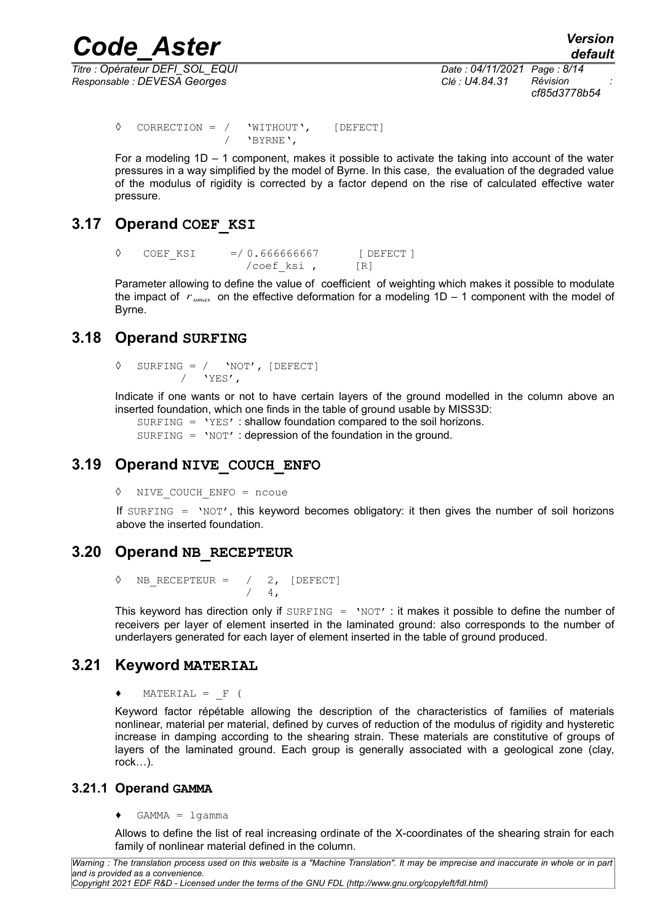*Responsable : DEVESA Georges Clé : U4.84.31 Révision :*

*Titre : Opérateur DEFI\_SOL\_EQUI Date : 04/11/2021 Page : 8/14 cf85d3778b54*

 $\sqrt{V}$  CORRECTION = /  $V$ WITHOUT', [DEFECT] / 'BYRNE',

For a modeling 1D – 1 component, makes it possible to activate the taking into account of the water pressures in a way simplified by the model of Byrne. In this case, the evaluation of the degraded value of the modulus of rigidity is corrected by a factor depend on the rise of calculated effective water pressure.

### **3.17 Operand COEF\_KSI**

◊ COEF\_KSI =/ 0.666666667 [ DEFECT ] /coef ksi , [R]

Parameter allowing to define the value of coefficient of weighting which makes it possible to modulate the impact of *r umax* on the effective deformation for a modeling 1D – 1 component with the model of Byrne.

### **3.18 Operand SURFING**

 $\Diamond$  SURFING = / 'NOT', [DEFECT]  $/$  'YES',

Indicate if one wants or not to have certain layers of the ground modelled in the column above an inserted foundation, which one finds in the table of ground usable by MISS3D:

SURFING = 'YES' : shallow foundation compared to the soil horizons.

 $SURFING = 'NOT'$ : depression of the foundation in the ground.

### **3.19 Operand NIVE\_COUCH\_ENFO**

◊ NIVE\_COUCH\_ENFO = ncoue

If SURFING  $=$  'NOT', this keyword becomes obligatory: it then gives the number of soil horizons above the inserted foundation.

### **3.20 Operand NB\_RECEPTEUR**

 $\Diamond$  NB RECEPTEUR = / 2, [DEFECT]  $/ 4,$ 

This keyword has direction only if SURFING = 'NOT' : it makes it possible to define the number of receivers per layer of element inserted in the laminated ground: also corresponds to the number of underlayers generated for each layer of element inserted in the table of ground produced.

### **3.21 Keyword MATERIAL**

 $MATERIAL = F ($ 

Keyword factor répétable allowing the description of the characteristics of families of materials nonlinear, material per material, defined by curves of reduction of the modulus of rigidity and hysteretic increase in damping according to the shearing strain. These materials are constitutive of groups of layers of the laminated ground. Each group is generally associated with a geological zone (clay, rock…).

#### **3.21.1 Operand GAMMA**

 $\triangleleft$  GAMMA = lgamma

Allows to define the list of real increasing ordinate of the X-coordinates of the shearing strain for each family of nonlinear material defined in the column.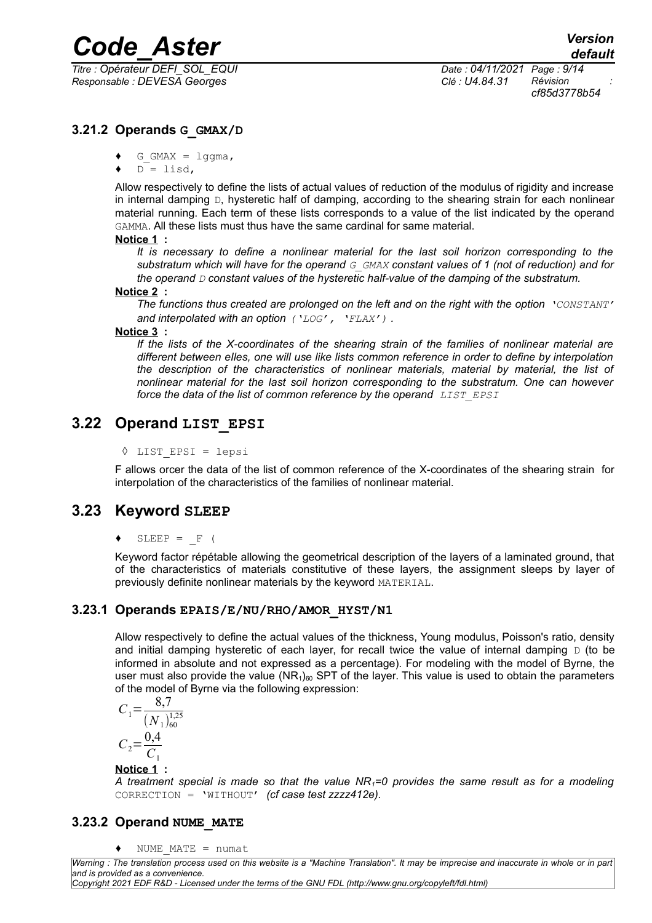*Responsable : DEVESA Georges Clé : U4.84.31 Révision :*

*Titre : Opérateur DEFI\_SOL\_EQUI Date : 04/11/2021 Page : 9/14 cf85d3778b54*

### **3.21.2 Operands G\_GMAX/D**

- $\bullet$  G GMAX = lggma,
- $D = \text{list}.$

Allow respectively to define the lists of actual values of reduction of the modulus of rigidity and increase in internal damping  $D$ , hysteretic half of damping, according to the shearing strain for each nonlinear material running. Each term of these lists corresponds to a value of the list indicated by the operand GAMMA. All these lists must thus have the same cardinal for same material.

#### **Notice 1 :**

*It is necessary to define a nonlinear material for the last soil horizon corresponding to the substratum which will have for the operand G\_GMAX constant values of 1 (not of reduction) and for the operand D constant values of the hysteretic half-value of the damping of the substratum.*

#### **Notice 2 :**

*The functions thus created are prolonged on the left and on the right with the option 'CONSTANT' and interpolated with an option ('LOG', 'FLAX') .*

#### **Notice 3 :**

*If the lists of the X-coordinates of the shearing strain of the families of nonlinear material are different between eIles, one will use like lists common reference in order to define by interpolation the description of the characteristics of nonlinear materials, material by material, the list of nonlinear material for the last soil horizon corresponding to the substratum. One can however force the data of the list of common reference by the operand LIST EPSI* 

### **3.22 Operand LIST\_EPSI**

◊ LIST\_EPSI = lepsi

F allows orcer the data of the list of common reference of the X-coordinates of the shearing strain for interpolation of the characteristics of the families of nonlinear material.

### **3.23 Keyword SLEEP**

 $SLEEP = F ($ 

Keyword factor répétable allowing the geometrical description of the layers of a laminated ground, that of the characteristics of materials constitutive of these layers, the assignment sleeps by layer of previously definite nonlinear materials by the keyword MATERIAL.

#### **3.23.1 Operands EPAIS/E/NU/RHO/AMOR\_HYST/N1**

Allow respectively to define the actual values of the thickness, Young modulus, Poisson's ratio, density and initial damping hysteretic of each layer, for recall twice the value of internal damping  $\Box$  (to be informed in absolute and not expressed as a percentage). For modeling with the model of Byrne, the user must also provide the value  $(NR<sub>1</sub>)<sub>60</sub>$  SPT of the layer. This value is used to obtain the parameters of the model of Byrne via the following expression:

$$
C_1 = \frac{8,7}{(N_1)^{1,25}_{60}}
$$

$$
C_2 = \frac{0,4}{C_1}
$$

#### **Notice 1 :**

*A treatment special is made so that the value NR1=0 provides the same result as for a modeling* CORRECTION = 'WITHOUT' *(cf case test zzzz412e).*

#### **3.23.2 Operand NUME\_MATE**

♦ NUME\_MATE = numat

*Warning : The translation process used on this website is a "Machine Translation". It may be imprecise and inaccurate in whole or in part and is provided as a convenience.*

*Copyright 2021 EDF R&D - Licensed under the terms of the GNU FDL (http://www.gnu.org/copyleft/fdl.html)*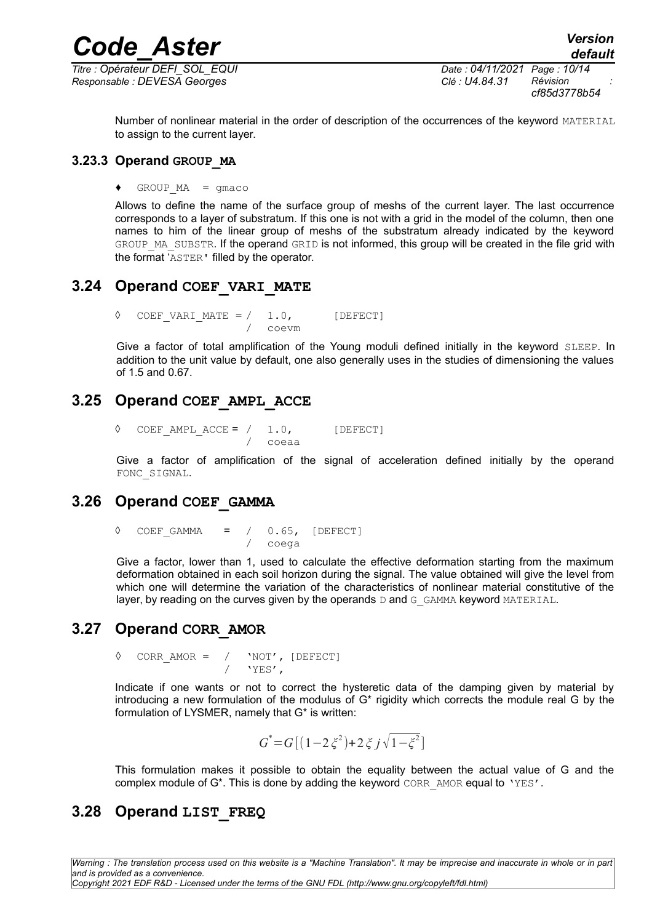*Titre : Opérateur DEFI\_SOL\_EQUI Date : 04/11/2021 Page : 10/14 Responsable : DEVESA Georges Clé : U4.84.31 Révision :*

*cf85d3778b54*

Number of nonlinear material in the order of description of the occurrences of the keyword MATERIAL to assign to the current layer.

#### **3.23.3 Operand GROUP\_MA**

 $\triangleleft$  GROUP MA = gmaco

Allows to define the name of the surface group of meshs of the current layer. The last occurrence corresponds to a layer of substratum. If this one is not with a grid in the model of the column, then one names to him of the linear group of meshs of the substratum already indicated by the keyword GROUP\_MA\_SUBSTR. If the operand GRID is not informed, this group will be created in the file grid with the format 'ASTER' filled by the operator.

### **3.24 Operand COEF\_VARI\_MATE**

 $\Diamond$  COEF VARI MATE = / 1.0, [DEFECT] / coevm

Give a factor of total amplification of the Young moduli defined initially in the keyword SLEEP. In addition to the unit value by default, one also generally uses in the studies of dimensioning the values of 1.5 and 0.67.

### **3.25 Operand COEF\_AMPL\_ACCE**

 $\Diamond$  COEF AMPL ACCE = / 1.0, [DEFECT] / coeaa

Give a factor of amplification of the signal of acceleration defined initially by the operand FONC\_SIGNAL.

### **3.26 Operand COEF\_GAMMA**

 $\Diamond$  COEF GAMMA = / 0.65, [DEFECT] / coega

Give a factor, lower than 1, used to calculate the effective deformation starting from the maximum deformation obtained in each soil horizon during the signal. The value obtained will give the level from which one will determine the variation of the characteristics of nonlinear material constitutive of the layer, by reading on the curves given by the operands  $D$  and  $G$  GAMMA keyword MATERIAL.

### **3.27 Operand CORR\_AMOR**

 $\sqrt[3]{CORR}$ AMOR = /  $\sqrt[3]{NOT}$ , [DEFECT] / 'YES',

Indicate if one wants or not to correct the hysteretic data of the damping given by material by introducing a new formulation of the modulus of G\* rigidity which corrects the module real G by the formulation of LYSMER, namely that G\* is written:

$$
G^* = G[(1 - 2\xi^2) + 2\xi j\sqrt{1 - \xi^2}]
$$

This formulation makes it possible to obtain the equality between the actual value of G and the complex module of  $G^*$ . This is done by adding the keyword CORR AMOR equal to 'YES'.

### **3.28 Operand LIST\_FREQ**

*Warning : The translation process used on this website is a "Machine Translation". It may be imprecise and inaccurate in whole or in part and is provided as a convenience.*

*Copyright 2021 EDF R&D - Licensed under the terms of the GNU FDL (http://www.gnu.org/copyleft/fdl.html)*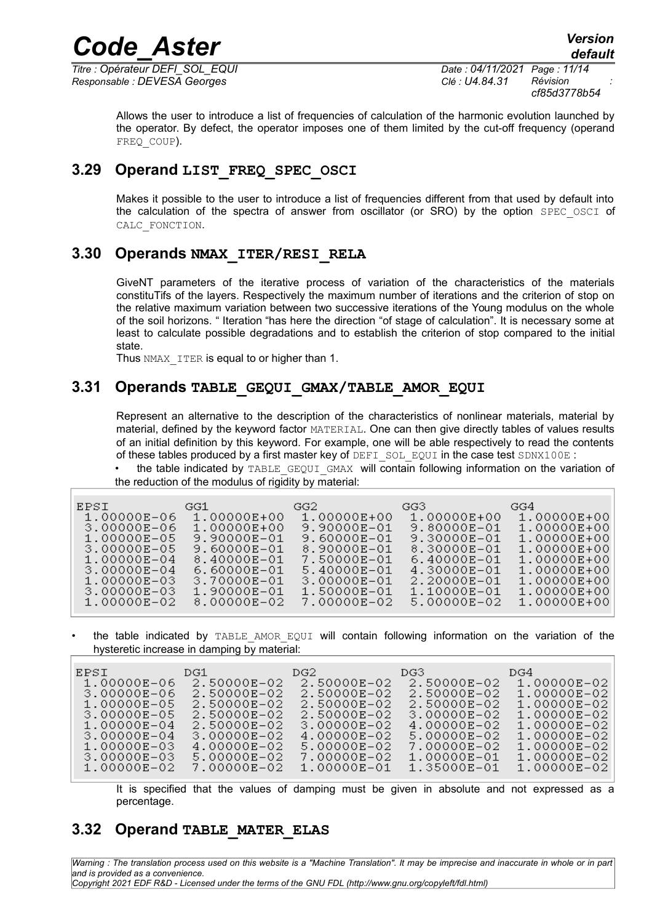*Titre : Opérateur DEFI\_SOL\_EQUI Date : 04/11/2021 Page : 11/14 Responsable : DEVESA Georges Clé : U4.84.31 Révision :*

*cf85d3778b54*

Allows the user to introduce a list of frequencies of calculation of the harmonic evolution launched by the operator. By defect, the operator imposes one of them limited by the cut-off frequency (operand FREQ COUP).

### **3.29 Operand LIST\_FREQ\_SPEC\_OSCI**

Makes it possible to the user to introduce a list of frequencies different from that used by default into the calculation of the spectra of answer from oscillator (or SRO) by the option SPEC OSCI of CALC\_FONCTION.

### **3.30 Operands NMAX\_ITER/RESI\_RELA**

GiveNT parameters of the iterative process of variation of the characteristics of the materials constituTifs of the layers. Respectively the maximum number of iterations and the criterion of stop on the relative maximum variation between two successive iterations of the Young modulus on the whole of the soil horizons. " Iteration "has here the direction "of stage of calculation". It is necessary some at least to calculate possible degradations and to establish the criterion of stop compared to the initial state.

Thus NMAX ITER is equal to or higher than 1.

### **3.31 Operands TABLE\_GEQUI\_GMAX/TABLE\_AMOR\_EQUI**

Represent an alternative to the description of the characteristics of nonlinear materials, material by material, defined by the keyword factor MATERIAL. One can then give directly tables of values results of an initial definition by this keyword. For example, one will be able respectively to read the contents of these tables produced by a first master key of DEFI SOL EQUI in the case test SDNX100E :

the table indicated by TABLE\_GEQUI\_GMAX will contain following information on the variation of the reduction of the modulus of rigidity by material:

| 1.00000E-02<br>8.00000E-02<br>7.00000E-02<br>5.00000E-02 | 1.00000E-06<br>1.00000E+00<br>1.00000E+00<br>1.00000E+00<br>1.00000E+00<br>9.80000E-01<br>3.00000E-06<br>9.90000E-01<br>9.90000E-01<br>9.30000E-01<br>1.00000E-05<br>9.60000E-01<br>9.60000E-01<br>3.00000E-05<br>8.90000E-01<br>8.30000E-01<br>1.00000E-04<br>8.40000E-01<br>6.40000E-01<br>7.50000E-01<br>6.60000E-01<br>3.00000E-04<br>5.40000E-01<br>4.30000E-01<br>3.70000E-01<br>1.00000E-03<br>3.00000E-01<br>2.20000E-01<br>3.00000E-03<br>1.90000E-01<br>1.10000E-01<br>1.50000E-01 | 1.00000E+00<br>1.00000E+00<br>1.00000E+00<br>1.00000E+00<br>1.00000E+00<br>1.00000E+00<br>1.00000E+00<br>1.00000E+00<br>1.00000E+00 |
|----------------------------------------------------------|----------------------------------------------------------------------------------------------------------------------------------------------------------------------------------------------------------------------------------------------------------------------------------------------------------------------------------------------------------------------------------------------------------------------------------------------------------------------------------------------|-------------------------------------------------------------------------------------------------------------------------------------|
|----------------------------------------------------------|----------------------------------------------------------------------------------------------------------------------------------------------------------------------------------------------------------------------------------------------------------------------------------------------------------------------------------------------------------------------------------------------------------------------------------------------------------------------------------------------|-------------------------------------------------------------------------------------------------------------------------------------|

the table indicated by TABLE AMOR EQUI will contain following information on the variation of the hysteretic increase in damping by material:

It is specified that the values of damping must be given in absolute and not expressed as a percentage.

### **3.32 Operand TABLE\_MATER\_ELAS**

*Warning : The translation process used on this website is a "Machine Translation". It may be imprecise and inaccurate in whole or in part and is provided as a convenience. Copyright 2021 EDF R&D - Licensed under the terms of the GNU FDL (http://www.gnu.org/copyleft/fdl.html)*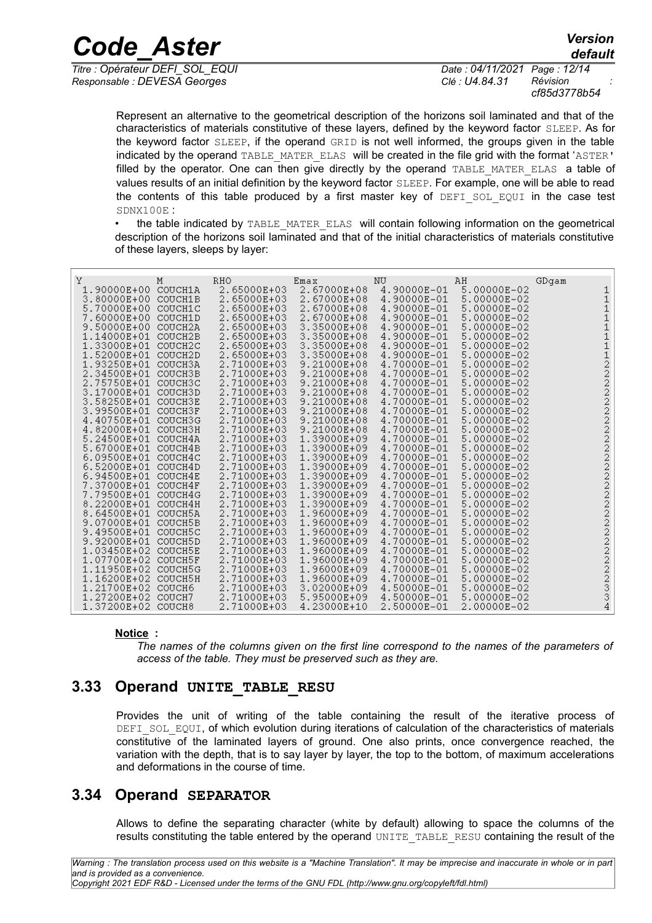*Responsable : DEVESA Georges Clé : U4.84.31 Révision :*

*Titre : Opérateur DEFI\_SOL\_EQUI Date : 04/11/2021 Page : 12/14 cf85d3778b54*

*default*

Represent an alternative to the geometrical description of the horizons soil laminated and that of the characteristics of materials constitutive of these layers, defined by the keyword factor SLEEP. As for the keyword factor SLEEP, if the operand GRID is not well informed, the groups given in the table indicated by the operand TABLE\_MATER\_ELAS\_will be created in the file grid with the format 'ASTER' filled by the operator. One can then give directly by the operand TABLE MATER ELAS a table of values results of an initial definition by the keyword factor SLEEP. For example, one will be able to read the contents of this table produced by a first master key of DEFI\_SOL\_EQUI in the case test SDNX100E :

the table indicated by TABLE\_MATER\_ELAS\_will contain following information on the geometrical description of the horizons soil laminated and that of the initial characteristics of materials constitutive of these layers, sleeps by layer:

| Υ<br>Μ<br>1.90000E+00<br>3.80000E+00<br>5.70000E+00<br>7.60000E+00<br>9.50000E+00<br>1.14000E+01<br>1.33000E+01<br>1.52000E+01<br>1.93250E+01<br>2.34500E+01<br>2.75750E+01<br>3.17000E+01<br>3.58250E+01<br>3.99500E+01<br>4.40750E+01<br>4.82000E+01<br>5.24500E+01<br>5.67000E+01<br>6.09500E+01<br>6.52000E+01<br>6.94500E+01<br>7.37000E+01<br>7.79500E+01<br>8.22000E+01<br>8.64500E+01<br>9.07000E+01<br>9.49500E+01 | COUCH1A<br>COUCH1B<br>COUCH1C<br>COUCH1D<br>COUCH2A<br>COUCH2B<br>COUCH <sub>2</sub> C<br>COUCH2D<br>COUCH3A<br>COUCH3B<br>COUCH3C<br>COUCH3D<br>COUCH3E<br>COUCH3F<br>COUCH3G<br>COUCH3H<br>COUCH4A<br>COUCH4B<br>COUCH4C<br>COUCH4D<br>COUCH4E<br>COUCH4F<br>COUCH4G<br>COUCH4H<br>COUCH5A<br>COUCH5B<br>COUCH <sub>5</sub> C | RHO<br>2.65000E+03<br>2.65000E+03<br>2.65000E+03<br>2.65000E+03<br>2.65000E+03<br>2.65000E+03<br>2.65000E+03<br>2.65000E+03<br>2.71000E+03<br>2.71000E+03<br>2.71000E+03<br>2.71000E+03<br>2.71000E+03<br>2.71000E+03<br>2.71000E+03<br>2.71000E+03<br>2.71000E+03<br>2.71000E+03<br>2.71000E+03<br>2.71000E+03<br>2.71000E+03<br>2.71000E+03<br>2.71000E+03<br>2.71000E+03<br>2.71000E+03<br>2.71000E+03<br>2.71000E+03 | Emax<br>2.67000E+08<br>2.67000E+08<br>2.67000E+08<br>2.67000E+08<br>3.35000E+08<br>3.35000E+08<br>3.35000E+08<br>3.35000E+08<br>9.21000E+08<br>9.21000E+08<br>9.21000E+08<br>9.21000E+08<br>9.21000E+08<br>9.21000E+08<br>9.21000E+08<br>9.21000E+08<br>1.39000E+09<br>1.39000E+09<br>1.39000E+09<br>1.39000E+09<br>1.39000E+09<br>1.39000E+09<br>1.39000E+09<br>1.39000E+09<br>1.96000E+09<br>1.96000E+09<br>1.96000E+09 | ΝU<br>4.90000E-01<br>4.90000E-01<br>4.90000E-01<br>4.90000E-01<br>4.90000E-01<br>4.90000E-01<br>4.90000E-01<br>4.90000E-01<br>4.70000E-01<br>4.70000E-01<br>4.70000E-01<br>4.70000E-01<br>4.70000E-01<br>4.70000E-01<br>4.70000E-01<br>4.70000E-01<br>4.70000E-01<br>4.70000E-01<br>4.70000E-01<br>4.70000E-01<br>4.70000E-01<br>4.70000E-01<br>4.70000E-01<br>4.70000E-01<br>4.70000E-01<br>4.70000E-01<br>4.70000E-01 | ΑH<br>5.00000E-02<br>5.00000E-02<br>5.00000E-02<br>5.00000E-02<br>5.00000E-02<br>5.00000E-02<br>5.00000E-02<br>5.00000E-02<br>5.00000E-02<br>5.00000E-02<br>5.00000E-02<br>5.00000E-02<br>5.00000E-02<br>5.00000E-02<br>5.00000E-02<br>5.00000E-02<br>5.00000E-02<br>5.00000E-02<br>5.00000E-02<br>5.00000E-02<br>5.00000E-02<br>5.00000E-02<br>5.00000E-02<br>5.00000E-02<br>5.00000E-02<br>5.00000E-02<br>5.00000E-02 | GDgam<br>1<br>$\mathbf 1$<br>1<br>1<br>11122222222222222222223334 |
|-----------------------------------------------------------------------------------------------------------------------------------------------------------------------------------------------------------------------------------------------------------------------------------------------------------------------------------------------------------------------------------------------------------------------------|---------------------------------------------------------------------------------------------------------------------------------------------------------------------------------------------------------------------------------------------------------------------------------------------------------------------------------|--------------------------------------------------------------------------------------------------------------------------------------------------------------------------------------------------------------------------------------------------------------------------------------------------------------------------------------------------------------------------------------------------------------------------|---------------------------------------------------------------------------------------------------------------------------------------------------------------------------------------------------------------------------------------------------------------------------------------------------------------------------------------------------------------------------------------------------------------------------|-------------------------------------------------------------------------------------------------------------------------------------------------------------------------------------------------------------------------------------------------------------------------------------------------------------------------------------------------------------------------------------------------------------------------|-------------------------------------------------------------------------------------------------------------------------------------------------------------------------------------------------------------------------------------------------------------------------------------------------------------------------------------------------------------------------------------------------------------------------|-------------------------------------------------------------------|
| 9.92000E+01                                                                                                                                                                                                                                                                                                                                                                                                                 | COUCH5D                                                                                                                                                                                                                                                                                                                         | 2.71000E+03                                                                                                                                                                                                                                                                                                                                                                                                              | 1.96000E+09                                                                                                                                                                                                                                                                                                                                                                                                               | 4.70000E-01                                                                                                                                                                                                                                                                                                                                                                                                             | 5.00000E-02                                                                                                                                                                                                                                                                                                                                                                                                             |                                                                   |
| 1.03450E+02                                                                                                                                                                                                                                                                                                                                                                                                                 | COUCH5E                                                                                                                                                                                                                                                                                                                         | 2.71000E+03                                                                                                                                                                                                                                                                                                                                                                                                              | 1.96000E+09                                                                                                                                                                                                                                                                                                                                                                                                               | 4.70000E-01                                                                                                                                                                                                                                                                                                                                                                                                             | 5.00000E-02                                                                                                                                                                                                                                                                                                                                                                                                             |                                                                   |
| 1.07700E+02                                                                                                                                                                                                                                                                                                                                                                                                                 | COUCH5F                                                                                                                                                                                                                                                                                                                         | 2.71000E+03                                                                                                                                                                                                                                                                                                                                                                                                              | 1.96000E+09                                                                                                                                                                                                                                                                                                                                                                                                               | 4.70000E-01                                                                                                                                                                                                                                                                                                                                                                                                             | 5.00000E-02                                                                                                                                                                                                                                                                                                                                                                                                             |                                                                   |
| 1.11950E+02                                                                                                                                                                                                                                                                                                                                                                                                                 | COUCH5G                                                                                                                                                                                                                                                                                                                         | 2.71000E+03                                                                                                                                                                                                                                                                                                                                                                                                              | 1.96000E+09                                                                                                                                                                                                                                                                                                                                                                                                               | 4.70000E-01                                                                                                                                                                                                                                                                                                                                                                                                             | 5.00000E-02                                                                                                                                                                                                                                                                                                                                                                                                             |                                                                   |
| 1.16200E+02                                                                                                                                                                                                                                                                                                                                                                                                                 | COUCH5H                                                                                                                                                                                                                                                                                                                         | 2.71000E+03                                                                                                                                                                                                                                                                                                                                                                                                              | 1.96000E+09                                                                                                                                                                                                                                                                                                                                                                                                               | 4.70000E-01                                                                                                                                                                                                                                                                                                                                                                                                             | 5.00000E-02                                                                                                                                                                                                                                                                                                                                                                                                             |                                                                   |
| 1.21700E+02                                                                                                                                                                                                                                                                                                                                                                                                                 | COUCH <sub>6</sub>                                                                                                                                                                                                                                                                                                              | 2.71000E+03                                                                                                                                                                                                                                                                                                                                                                                                              | 3.02000E+09                                                                                                                                                                                                                                                                                                                                                                                                               | 4.50000E-01                                                                                                                                                                                                                                                                                                                                                                                                             | 5.00000E-02                                                                                                                                                                                                                                                                                                                                                                                                             |                                                                   |
| 1.27200E+02                                                                                                                                                                                                                                                                                                                                                                                                                 | COUCH7                                                                                                                                                                                                                                                                                                                          | 2.71000E+03                                                                                                                                                                                                                                                                                                                                                                                                              | 5.95000E+09                                                                                                                                                                                                                                                                                                                                                                                                               | 4.50000E-01                                                                                                                                                                                                                                                                                                                                                                                                             | 5.00000E-02                                                                                                                                                                                                                                                                                                                                                                                                             |                                                                   |
| 1.37200E+02                                                                                                                                                                                                                                                                                                                                                                                                                 | COUCH <sub>8</sub>                                                                                                                                                                                                                                                                                                              | 2.71000E+03                                                                                                                                                                                                                                                                                                                                                                                                              | 4.23000E+10                                                                                                                                                                                                                                                                                                                                                                                                               | 2.50000E-01                                                                                                                                                                                                                                                                                                                                                                                                             | 2.00000E-02                                                                                                                                                                                                                                                                                                                                                                                                             |                                                                   |

#### **Notice :**

*The names of the columns given on the first line correspond to the names of the parameters of access of the table. They must be preserved such as they are.*

### **3.33 Operand UNITE\_TABLE\_RESU**

Provides the unit of writing of the table containing the result of the iterative process of DEFI SOL EQUI, of which evolution during iterations of calculation of the characteristics of materials constitutive of the laminated layers of ground. One also prints, once convergence reached, the variation with the depth, that is to say layer by layer, the top to the bottom, of maximum accelerations and deformations in the course of time.

### **3.34 Operand SEPARATOR**

Allows to define the separating character (white by default) allowing to space the columns of the results constituting the table entered by the operand UNITE\_TABLE\_RESU containing the result of the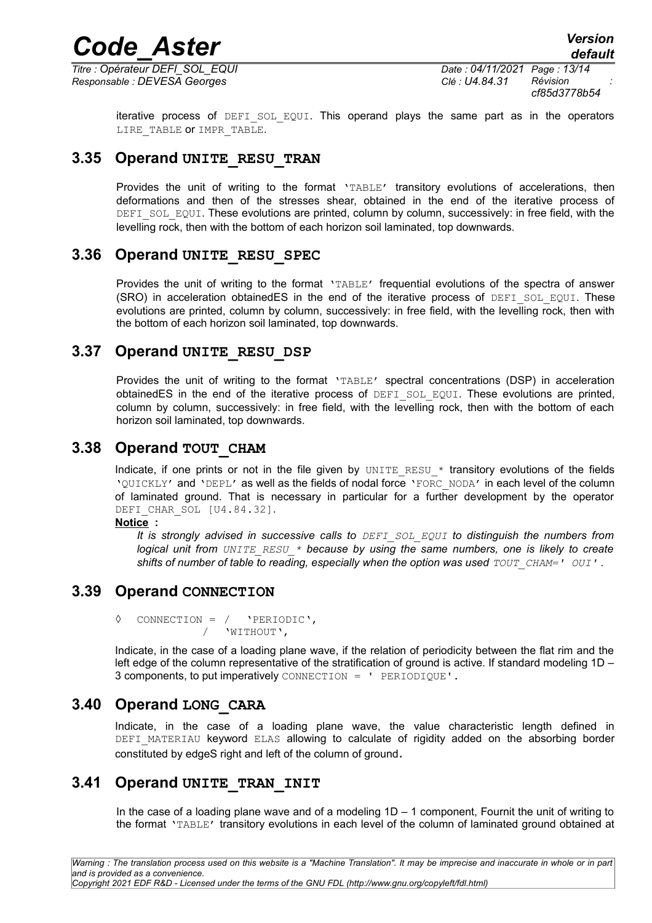*Responsable : DEVESA Georges Clé : U4.84.31 Révision :*

*Titre : Opérateur DEFI\_SOL\_EQUI Date : 04/11/2021 Page : 13/14 cf85d3778b54*

iterative process of DEFI\_SOL\_EQUI. This operand plays the same part as in the operators LIRE\_TABLE OF IMPR\_TABLE.

### **3.35 Operand UNITE\_RESU\_TRAN**

Provides the unit of writing to the format 'TABLE' transitory evolutions of accelerations, then deformations and then of the stresses shear, obtained in the end of the iterative process of DEFI\_SOL\_EQUI. These evolutions are printed, column by column, successively: in free field, with the levelling rock, then with the bottom of each horizon soil laminated, top downwards.

### **3.36 Operand UNITE\_RESU\_SPEC**

Provides the unit of writing to the format 'TABLE' frequential evolutions of the spectra of answer (SRO) in acceleration obtainedES in the end of the iterative process of DEFI SOL EQUI. These evolutions are printed, column by column, successively: in free field, with the levelling rock, then with the bottom of each horizon soil laminated, top downwards.

### **3.37 Operand UNITE\_RESU\_DSP**

Provides the unit of writing to the format 'TABLE' spectral concentrations (DSP) in acceleration obtainedES in the end of the iterative process of DEFI\_SOL\_EQUI. These evolutions are printed, column by column, successively: in free field, with the levelling rock, then with the bottom of each horizon soil laminated, top downwards.

### **3.38 Operand TOUT\_CHAM**

Indicate, if one prints or not in the file given by UNITE\_RESU  $*$  transitory evolutions of the fields 'OUICKLY' and 'DEPL' as well as the fields of nodal force 'FORC\_NODA' in each level of the column of laminated ground. That is necessary in particular for a further development by the operator DEFI CHAR SOL [U4.84.32].

**Notice :**

*It is strongly advised in successive calls to DEFI\_SOL\_EQUI to distinguish the numbers from logical unit from UNITE\_RESU\_\* because by using the same numbers, one is likely to create shifts of number of table to reading, especially when the option was used*  $TOUTCHAM=' OUT'$ *.* 

### **3.39 Operand CONNECTION**

◊ CONNECTION = / 'PERIODIC', / 'WITHOUT',

Indicate, in the case of a loading plane wave, if the relation of periodicity between the flat rim and the left edge of the column representative of the stratification of ground is active. If standard modeling 1D – 3 components, to put imperatively CONNECTION = ' PERIODIQUE'.

### **3.40 Operand LONG\_CARA**

Indicate, in the case of a loading plane wave, the value characteristic length defined in DEFI\_MATERIAU keyword ELAS allowing to calculate of rigidity added on the absorbing border constituted by edgeS right and left of the column of ground.

### **3.41 Operand UNITE\_TRAN\_INIT**

In the case of a loading plane wave and of a modeling  $1D - 1$  component, Fournit the unit of writing to the format 'TABLE' transitory evolutions in each level of the column of laminated ground obtained at